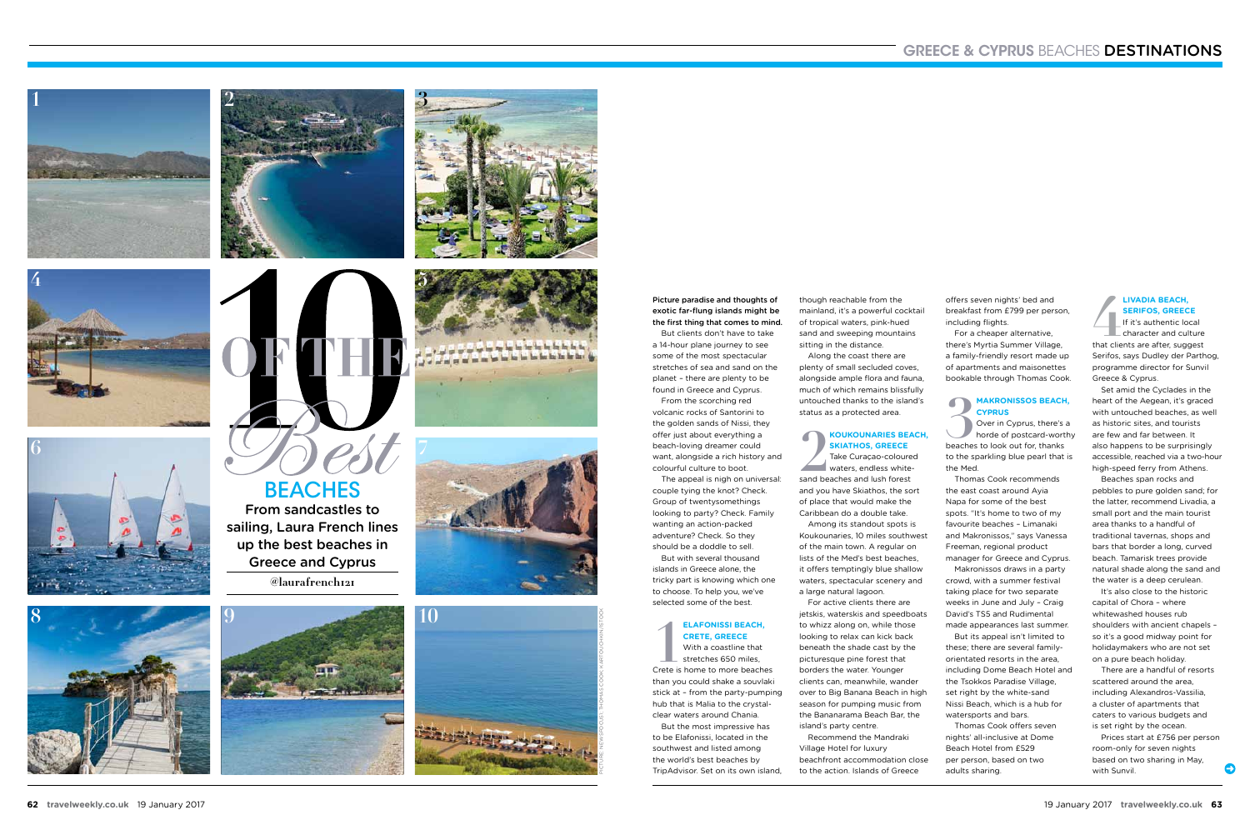From sandcastles to **BEACHES** 







**8** 







**5**





sailing, Laura French lines up the best beaches in Greece and Cyprus **@laurafrench121**



Picture paradise and thoughts of exotic far-flung islands might be the first thing that comes to mind.

But clients don't have to take a 14-hour plane journey to see some of the most spectacular stretches of sea and sand on the planet – there are plenty to be found in Greece and Cyprus. From the scorching red

### **ELAFONISSI BEACH,<br>
<b>11** CRETE, GREECE<br>
With a coastline that<br>
stretches 650 miles,<br>
Crete is home to more beaches **Elafonissi Beach, Crete, Greece** With a coastline that

volcanic rocks of Santorini to the golden sands of Nissi, they offer just about everything a beach-loving dreamer could want, alongside a rich history and colourful culture to boot.

The appeal is nigh on universal: couple tying the knot? Check. Group of twentysomethings looking to party? Check. Family wanting an action-packed adventure? Check. So they should be a doddle to sell. But with several thousand

2<br>sand be **Skiathos, Greece**

islands in Greece alone, the tricky part is knowing which one to choose. To help you, we've selected some of the best.

stretches 650 miles, than you could shake a souvlaki stick at – from the party-pumping hub that is Malia to the crystalclear waters around Chania.

But the most impressive has to be Elafonissi, located in the southwest and listed among the world's best beaches by TripAdvisor. Set on its own island,

**33 MAKRONISSOS BEACH<br>
CYPRUS**<br>
Over in Cyprus, there's<br>
horde of postcard-wort<br>
beaches to look out for, thanks Over in Cyprus, there's a horde of postcard-worthy to the sparkling blue pearl that is the Med.

though reachable from the mainland, it's a powerful cocktail of tropical waters, pink-hued sand and sweeping mountains sitting in the distance. Along the coast there are plenty of small secluded coves, alongside ample flora and fauna, much of which remains blissfully untouched thanks to the island's

status as a protected area.

# **Koukounaries Beach,**

**44 EXADIA BEACH,<br>
<b>44 EXAMPLE 15 AND SERIFOS, GREECE**<br> **44 Character and culture**<br>
that clients are after, suggest If it's authentic local character and culture Serifos, says Dudley der Parthog, programme director for Sunvil Greece & Cyprus.

Take Curaçao-coloured waters, endless whitesand beaches and lush forest and you have Skiathos, the sort of place that would make the Caribbean do a double take. Among its standout spots is Koukounaries, 10 miles southwest of the main town. A regular on lists of the Med's best beaches, it offers temptingly blue shallow waters, spectacular scenery and a large natural lagoon.

For active clients there are jetskis, waterskis and speedboats to whizz along on, while those looking to relax can kick back beneath the shade cast by the picturesque pine forest that borders the water. Younger clients can, meanwhile, wander over to Big Banana Beach in high season for pumping music from the Bananarama Beach Bar, the island's party centre.

Recommend the Mandraki Village Hotel for luxury beachfront accommodation close to the action. Islands of Greece

offers seven nights' bed and breakfast from £799 per person, including flights.

For a cheaper alternative, there's Myrtia Summer Village, a family-friendly resort made up of apartments and maisonettes bookable through Thomas Cook.

### **MakronisSos beach, Cyprus**

Thomas Cook recommends the east coast around Ayia Napa for some of the best spots. "It's home to two of my favourite beaches – Limanaki and Makronissos," says Vanessa Freeman, regional product manager for Greece and Cyprus.

Makronissos draws in a party crowd, with a summer festival taking place for two separate weeks in June and July – Craig David's TS5 and Rudimental made appearances last summer.

But its appeal isn't limited to these; there are several familyorientated resorts in the area, including Dome Beach Hotel and the Tsokkos Paradise Village, set right by the white-sand Nissi Beach, which is a hub for watersports and bars.

Thomas Cook offers seven nights' all-inclusive at Dome Beach Hotel from £529 per person, based on two adults sharing.

**Livadia Beach, Serifos, Greece**

Set amid the Cyclades in the heart of the Aegean, it's graced with untouched beaches, as well as historic sites, and tourists are few and far between. It also happens to be surprisingly accessible, reached via a two-hour high-speed ferry from Athens.

Beaches span rocks and pebbles to pure golden sand; for the latter, recommend Livadia, a small port and the main tourist area thanks to a handful of traditional tavernas, shops and bars that border a long, curved beach. Tamarisk trees provide natural shade along the sand and the water is a deep cerulean.

It's also close to the historic capital of Chora – where whitewashed houses rub shoulders with ancient chapels – so it's a good midway point for holidaymakers who are not set on a pure beach holiday.

There are a handful of resorts scattered around the area, including Alexandros-Vassilia, a cluster of apartments that caters to various budgets and is set right by the ocean.

Prices start at £756 per person room-only for seven nights based on two sharing in May, with Sunvil.

 $\bullet$ 

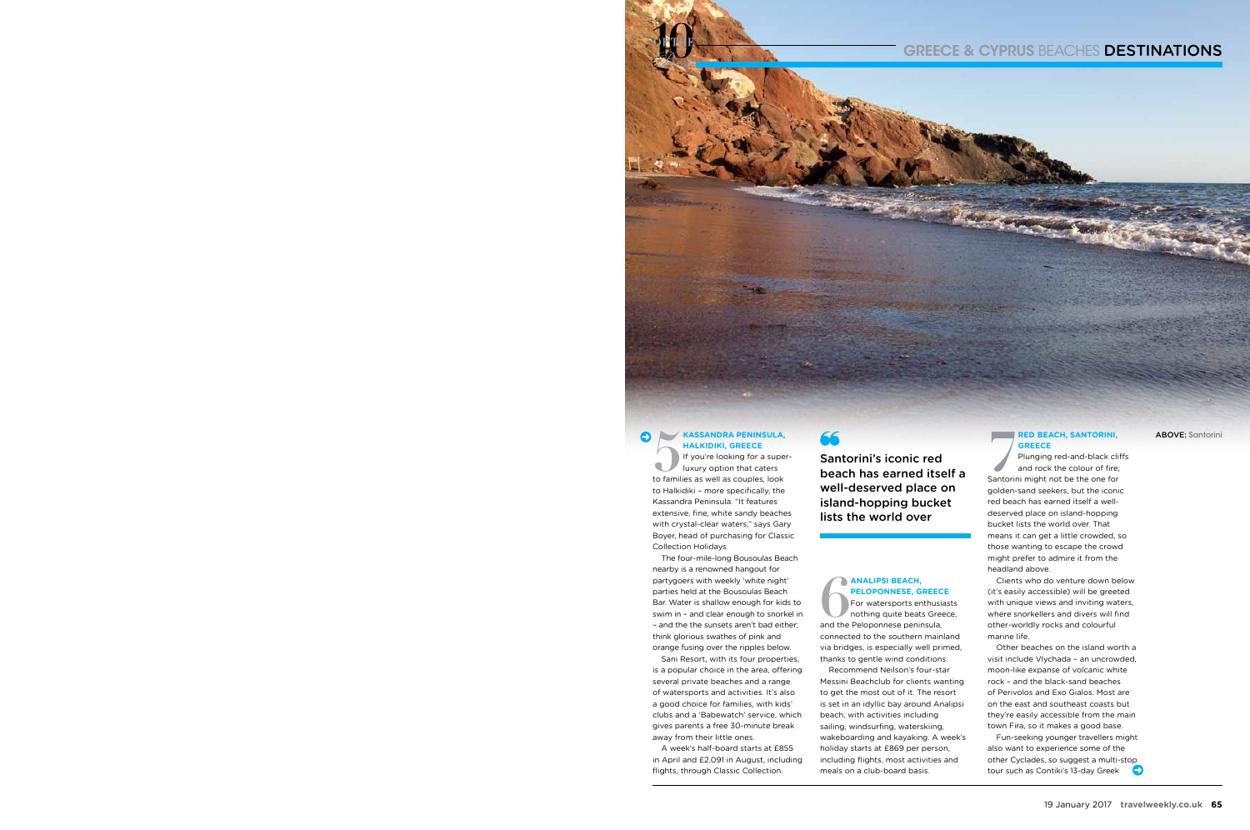

### **Kassandra Peninsula, Halkidiki, Greece**

**FRANSANDRA PENINSULA,<br>
HALKIDIKI, GREECE**<br>
If you're looking for a supe<br>
luxury option that caters<br>
to families as well as couples, look If you're looking for a superluxury option that caters to Halkidiki – more specifically, the Kassandra Peninsula. "It features extensive, fine, white sandy beaches with crystal-clear waters," says Gary Boyer, head of purchasing for Classic Collection Holidays.

The four-mile-long Bousoulas Beach nearby is a renowned hangout for partygoers with weekly 'white night' parties held at the Bousoulas Beach Bar. Water is shallow enough for kids to swim in – and clear enough to snorkel in – and the the sunsets aren't bad either; think glorious swathes of pink and orange fusing over the ripples below.

**66**<br>**66 For watersports enthusia**<br>**66 For watersports enthusia**<br>**66 For watersports enthusia**<br>**66 For Waters**<br>**66 For Waters Scheen Scheen Scheen Scheen Scheen Scheen Scheen Scheen Scheen Scheen Scheen Scheen Scheen Schee** For watersports enthusiasts nothing quite beats Greece, connected to the southern mainland via bridges, is especially well primed, thanks to gentle wind conditions. Recommend Neilson's four-star Messini Beachclub for clients wanting to get the most out of it. The resort is set in an idyllic bay around Analipsi beach, with activities including sailing, windsurfing, waterskiing, wakeboarding and kayaking. A week's holiday starts at £869 per person, including flights, most activities and meals on a club-board basis.

### **GREECE & CYPRUS BEACHES DESTINATIONS**

### **RED BEACH, SANTORINI, Greece**

Sani Resort, with its four properties, is a popular choice in the area, offering several private beaches and a range of watersports and activities. It's also a good choice for families, with kids' clubs and a 'Babewatch' service, which gives parents a free 30-minute break away from their little ones.

**RED BEACH, SANTORINI,<br>
<b>GREECE**<br>
Plunging red-and-black clit<br>
and rock the colour of fire;<br>
Santorini might not be the one for Plunging red-and-black cliffs and rock the colour of fire; golden-sand seekers, but the iconic red beach has earned itself a welldeserved place on island-hopping bucket lists the world over. That means it can get a little crowded, so those wanting to escape the crowd might prefer to admire it from the headland above.

A week's half-board starts at £855 in April and £2,091 in August, including flights, through Classic Collection.

## **Analipsi Beach, Peloponnese, Greece**

Fun-seeking younger travellers might also want to experience some of the other Cyclades, so suggest a multi-stop tour such as Contiki's 13-day Greek

Clients who do venture down below (it's easily accessible) will be greeted with unique views and inviting waters, where snorkellers and divers will find other-worldly rocks and colourful marine life.

Other beaches on the island worth a visit include Vlychada – an uncrowded, moon-like expanse of volcanic white rock – and the black-sand beaches of Perivolos and Exo Gialos. Most are on the east and southeast coasts but they're easily accessible from the main town Fira, so it makes a good base.

Santorini's iconic red beach has earned itself a well-deserved place on island-hopping bucket lists the world over

ABOVE: Santorini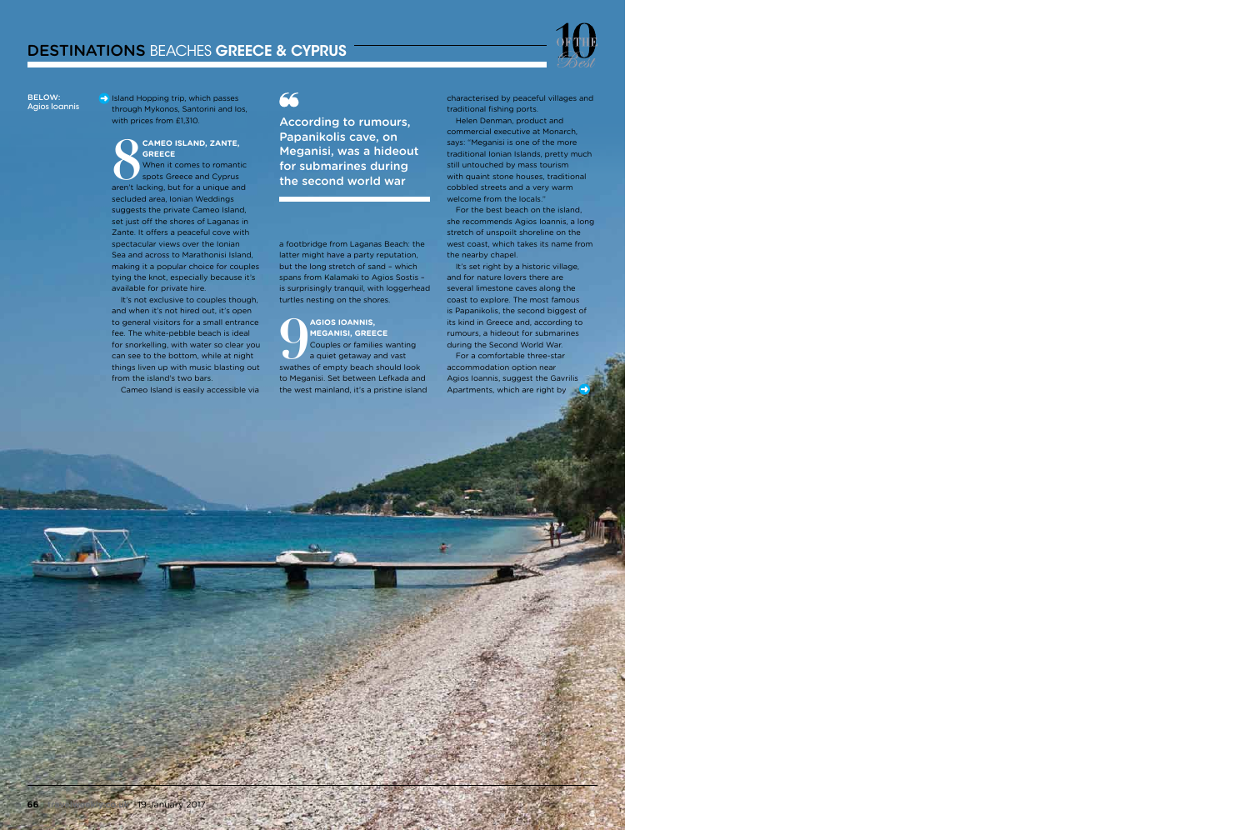$\rightarrow$  Island Hopping trip, which passes through Mykonos, Santorini and Ios, with prices from £1,310.

### **Cameo Island, Zante, Greece**

**88 CAMEO ISLAND, ZANTE,<br>
<b>8** GREECE<br>
When it comes to romantic<br>
spots Greece and Cyprus<br>
aren't lacking, but for a unique and hen it comes to romantic pots Greece and Cyprus secluded area, Ionian Weddings suggests the private Cameo Island, set just off the shores of Laganas in Zante. It offers a peaceful cove with spectacular views over the Ionian Sea and across to Marathonisi Island, making it a popular choice for couples tying the knot, especially because it's available for private hire.

It's not exclusive to couples though, and when it's not hired out, it's open to general visitors for a small entrance fee. The white-pebble beach is ideal for snorkelling, with water so clear you can see to the bottom, while at night things liven up with music blasting out from the island's two bars.

Cameo Island is easily accessible via

# 66

a footbridge from Laganas Beach: the latter might have a party reputation, but the long stretch of sand – which spans from Kalamaki to Agios Sostis – is surprisingly tranquil, with loggerhead turtles nesting on the shores.

It's set right by a historic village, and for nature lovers there are several limestone caves along the coast to explore. The most famous is Papanikolis, the second biggest of its kind in Greece and, according to rumours, a hideout for submarines during the Second World War.

For a comfortable three-star accommodation option near Agios Ioannis, suggest the Gavrilis Apartments, which are right by

**9 Agios Ioannis, Meganisi, Greece** Couples or families wanting a quiet getaway and vast swathes of empty beach should look to Meganisi. Set between Lefkada and the west mainland, it's a pristine island characterised by peaceful villages and traditional fishing ports.

Helen Denman, product and commercial executive at Monarch, says: "Meganisi is one of the more traditional Ionian Islands, pretty much still untouched by mass tourism with quaint stone houses, traditional cobbled streets and a very warm welcome from the locals."

For the best beach on the island, she recommends Agios Ioannis, a long stretch of unspoilt shoreline on the west coast, which takes its name from the nearby chapel.

According to rumours, Papanikolis cave, on Meganisi, was a hideout for submarines during the second world war

BELOW: Agios Ioannis